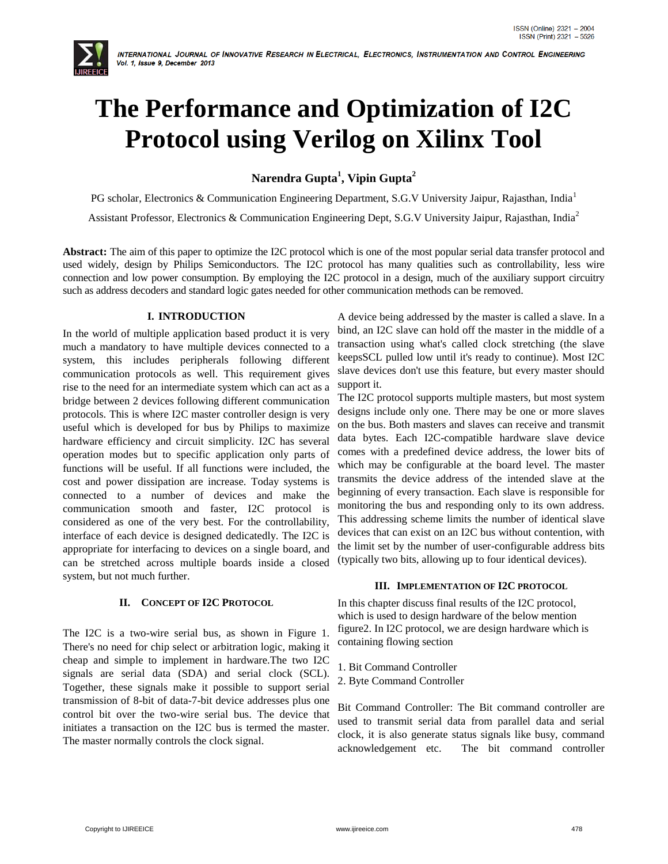

# **The Performance and Optimization of I2C Protocol using Verilog on Xilinx Tool**

# **Narendra Gupta<sup>1</sup> , Vipin Gupta<sup>2</sup>**

PG scholar, Electronics & Communication Engineering Department, S.G.V University Jaipur, Rajasthan, India<sup>1</sup>

Assistant Professor, Electronics & Communication Engineering Dept, S.G.V University Jaipur, Rajasthan, India<sup>2</sup>

Abstract: The aim of this paper to optimize the I2C protocol which is one of the most popular serial data transfer protocol and used widely, design by Philips Semiconductors. The I2C protocol has many qualities such as controllability, less wire connection and low power consumption. By employing the I2C protocol in a design, much of the auxiliary support circuitry such as address decoders and standard logic gates needed for other communication methods can be removed.

## **I. INTRODUCTION**

In the world of multiple application based product it is very much a mandatory to have multiple devices connected to a system, this includes peripherals following different communication protocols as well. This requirement gives rise to the need for an intermediate system which can act as a bridge between 2 devices following different communication protocols. This is where I2C master controller design is very useful which is developed for bus by Philips to maximize hardware efficiency and circuit simplicity. I2C has several operation modes but to specific application only parts of functions will be useful. If all functions were included, the cost and power dissipation are increase. Today systems is connected to a number of devices and make the communication smooth and faster, I2C protocol is considered as one of the very best. For the controllability, interface of each device is designed dedicatedly. The I2C is appropriate for interfacing to devices on a single board, and can be stretched across multiple boards inside a closed system, but not much further.

## **II. CONCEPT OF I2C PROTOCOL**

The I2C is a two-wire serial bus, as shown in Figure 1. There's no need for chip select or arbitration logic, making it cheap and simple to implement in hardware.The two I2C signals are serial data (SDA) and serial clock (SCL). Together, these signals make it possible to support serial transmission of 8-bit of data-7-bit device addresses plus one control bit over the two-wire serial bus. The device that initiates a transaction on the I2C bus is termed the master. The master normally controls the clock signal.

A device being addressed by the master is called a slave. In a bind, an I2C slave can hold off the master in the middle of a transaction using what's called clock stretching (the slave keepsSCL pulled low until it's ready to continue). Most I2C slave devices don't use this feature, but every master should support it.

The I2C protocol supports multiple masters, but most system designs include only one. There may be one or more slaves on the bus. Both masters and slaves can receive and transmit data bytes. Each I2C-compatible hardware slave device comes with a predefined device address, the lower bits of which may be configurable at the board level. The master transmits the device address of the intended slave at the beginning of every transaction. Each slave is responsible for monitoring the bus and responding only to its own address. This addressing scheme limits the number of identical slave devices that can exist on an I2C bus without contention, with the limit set by the number of user-configurable address bits (typically two bits, allowing up to four identical devices).

## **III. IMPLEMENTATION OF I2C PROTOCOL**

In this chapter discuss final results of the I2C protocol, which is used to design hardware of the below mention figure2. In I2C protocol, we are design hardware which is containing flowing section

- 1. Bit Command Controller
- 2. Byte Command Controller

Bit Command Controller: The Bit command controller are used to transmit serial data from parallel data and serial clock, it is also generate status signals like busy, command acknowledgement etc. The bit command controller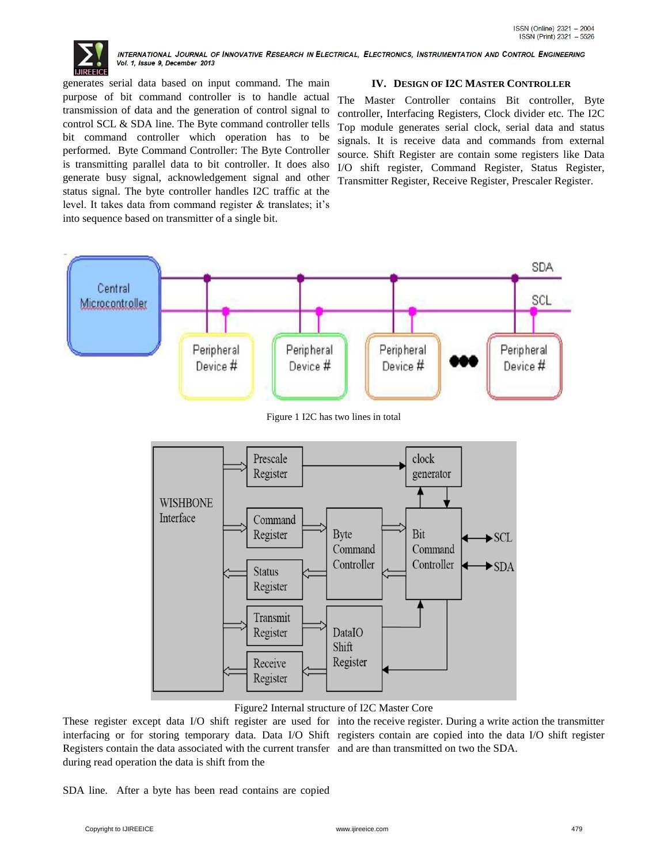

INTERNATIONAL JOURNAL OF INNOVATIVE RESEARCH IN ELECTRICAL, ELECTRONICS, INSTRUMENTATION AND CONTROL ENGINEERING Vol. 1, Issue 9, December 2013

generates serial data based on input command. The main purpose of bit command controller is to handle actual transmission of data and the generation of control signal to control SCL & SDA line. The Byte command controller tells bit command controller which operation has to be performed. Byte Command Controller: The Byte Controller is transmitting parallel data to bit controller. It does also generate busy signal, acknowledgement signal and other status signal. The byte controller handles I2C traffic at the level. It takes data from command register & translates; it's into sequence based on transmitter of a single bit.

#### **IV. DESIGN OF I2C MASTER CONTROLLER**

The Master Controller contains Bit controller, Byte controller, Interfacing Registers, Clock divider etc. The I2C Top module generates serial clock, serial data and status signals. It is receive data and commands from external source. Shift Register are contain some registers like Data I/O shift register, Command Register, Status Register, Transmitter Register, Receive Register, Prescaler Register.



Figure2 Internal structure of I2C Master Core

Registers contain the data associated with the current transfer and are than transmitted on two the SDA.during read operation the data is shift from the

These register except data I/O shift register are used for into the receive register. During a write action the transmitter interfacing or for storing temporary data. Data I/O Shift registers contain are copied into the data I/O shift register

SDA line. After a byte has been read contains are copied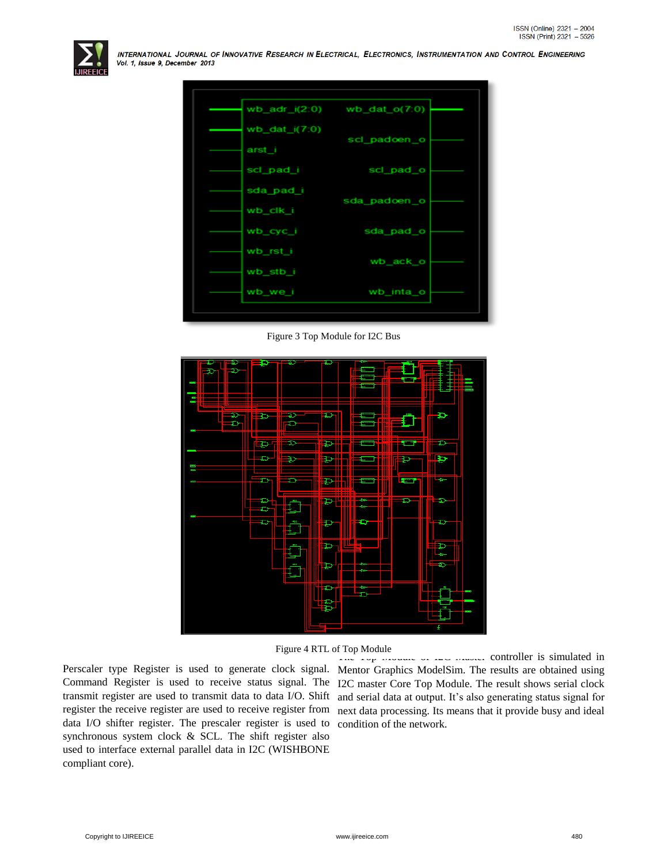

INTERNATIONAL JOURNAL OF INNOVATIVE RESEARCH IN ELECTRICAL, ELECTRONICS, INSTRUMENTATION AND CONTROL ENGINEERING Vol. 1, Issue 9, December 2013



Figure 3 Top Module for I2C Bus





data I/O shifter register. The prescaler register is used to condition of the network. synchronous system clock & SCL. The shift register also used to interface external parallel data in I2C (WISHBONE compliant core).

Perscaler type Register is used to generate clock signal. Mentor Graphics ModelSim. The results are obtained using Command Register is used to receive status signal. The I2C master Core Top Module. The result shows serial clock transmit register are used to transmit data to data I/O. Shift and serial data at output. It's also generating status signal for register the receive register are used to receive register from next data processing. Its means that it provide busy and ideal  $\ldots$   $\ldots$   $\ldots$   $\ldots$  controller is simulated in